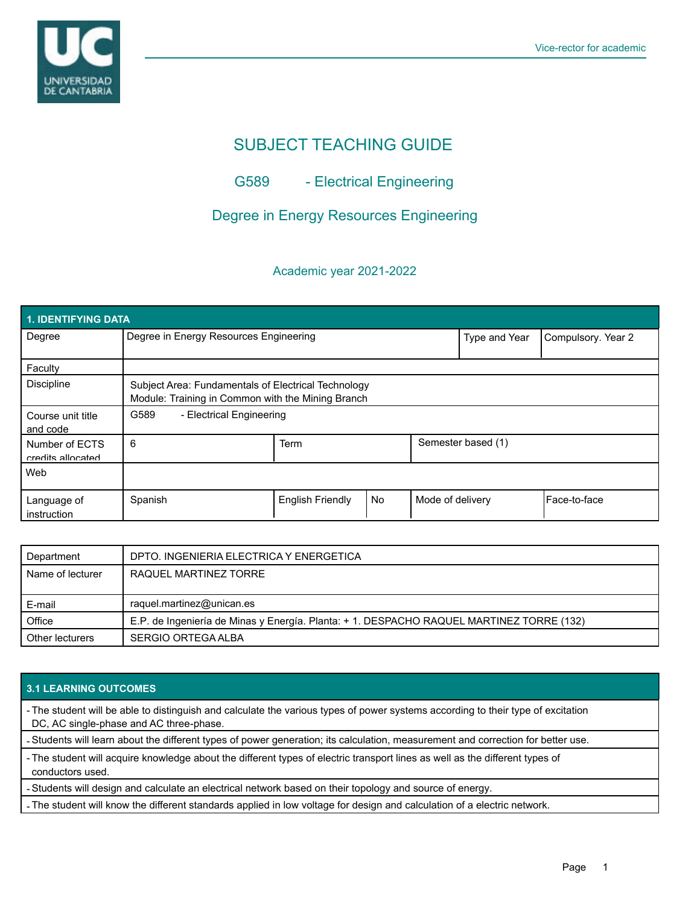

# SUBJECT TEACHING GUIDE

# G589 - Electrical Engineering

## Degree in Energy Resources Engineering

### Academic year 2021-2022

| 1. IDENTIFYING DATA                 |                                                                                                          |                         |           |                    |                    |              |  |  |  |
|-------------------------------------|----------------------------------------------------------------------------------------------------------|-------------------------|-----------|--------------------|--------------------|--------------|--|--|--|
| Degree                              | Degree in Energy Resources Engineering                                                                   |                         |           | Type and Year      | Compulsory. Year 2 |              |  |  |  |
| Faculty                             |                                                                                                          |                         |           |                    |                    |              |  |  |  |
| <b>Discipline</b>                   | Subject Area: Fundamentals of Electrical Technology<br>Module: Training in Common with the Mining Branch |                         |           |                    |                    |              |  |  |  |
| Course unit title<br>and code       | G589<br>- Electrical Engineering                                                                         |                         |           |                    |                    |              |  |  |  |
| Number of ECTS<br>credits allocated | 6                                                                                                        | Term                    |           | Semester based (1) |                    |              |  |  |  |
| Web                                 |                                                                                                          |                         |           |                    |                    |              |  |  |  |
| Language of<br>instruction          | Spanish                                                                                                  | <b>English Friendly</b> | <b>No</b> | Mode of delivery   |                    | Face-to-face |  |  |  |

| Department       | DPTO. INGENIERIA ELECTRICA Y ENERGETICA                                                  |
|------------------|------------------------------------------------------------------------------------------|
| Name of lecturer | RAQUEL MARTINEZ TORRE                                                                    |
|                  |                                                                                          |
|                  |                                                                                          |
| E-mail           | raquel.martinez@unican.es                                                                |
| Office           | E.P. de Ingeniería de Minas y Energía. Planta: + 1. DESPACHO RAQUEL MARTINEZ TORRE (132) |

### **3.1 LEARNING OUTCOMES**

- The student will be able to distinguish and calculate the various types of power systems according to their type of excitation DC, AC single-phase and AC three-phase.

- Students will learn about the different types of power generation; its calculation, measurement and correction for better use.

- The student will acquire knowledge about the different types of electric transport lines as well as the different types of conductors used.

- Students will design and calculate an electrical network based on their topology and source of energy.

- The student will know the different standards applied in low voltage for design and calculation of a electric network.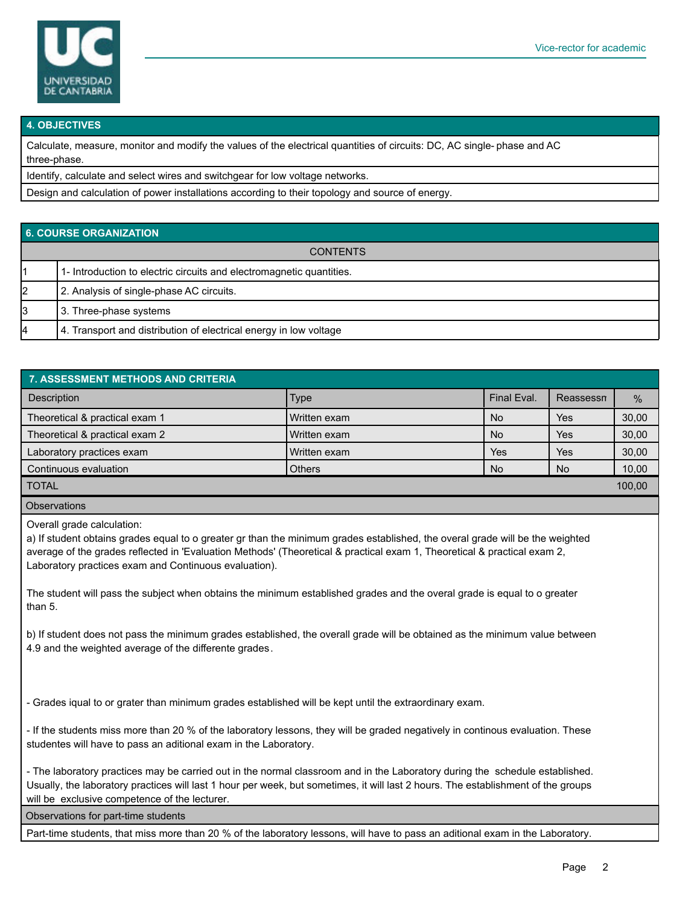

#### **4. OBJECTIVES**

Calculate, measure, monitor and modify the values of the electrical quantities of circuits: DC, AC single- phase and AC three-phase.

Identify, calculate and select wires and switchgear for low voltage networks.

Design and calculation of power installations according to their topology and source of energy.

#### **6. COURSE ORGANIZATION**

| <b>CONTENTS</b> |                                                                      |  |  |  |
|-----------------|----------------------------------------------------------------------|--|--|--|
|                 | 1- Introduction to electric circuits and electromagnetic quantities. |  |  |  |
| 12              | 2. Analysis of single-phase AC circuits.                             |  |  |  |
| l3              | 3. Three-phase systems                                               |  |  |  |
| 4               | 4. Transport and distribution of electrical energy in low voltage    |  |  |  |

| 7. ASSESSMENT METHODS AND CRITERIA |               |             |           |               |  |  |  |  |  |
|------------------------------------|---------------|-------------|-----------|---------------|--|--|--|--|--|
| <b>Description</b>                 | <b>Type</b>   | Final Eval. | Reassessn | $\frac{0}{0}$ |  |  |  |  |  |
| Theoretical & practical exam 1     | Written exam  | <b>No</b>   | Yes       | 30,00         |  |  |  |  |  |
| Theoretical & practical exam 2     | Written exam  | <b>No</b>   | Yes       | 30,00         |  |  |  |  |  |
| Laboratory practices exam          | Written exam  | Yes         | Yes       | 30,00         |  |  |  |  |  |
| Continuous evaluation              | <b>Others</b> | <b>No</b>   | No.       | 10,00         |  |  |  |  |  |
| <b>TOTAL</b>                       |               |             |           | 100,00        |  |  |  |  |  |
| <b>Observations</b>                |               |             |           |               |  |  |  |  |  |

Overall grade calculation:

a) If student obtains grades equal to o greater gr than the minimum grades established, the overal grade will be the weighted average of the grades reflected in 'Evaluation Methods' (Theoretical & practical exam 1, Theoretical & practical exam 2, Laboratory practices exam and Continuous evaluation).

The student will pass the subject when obtains the minimum established grades and the overal grade is equal to o greater than 5.

b) If student does not pass the minimum grades established, the overall grade will be obtained as the minimum value between 4.9 and the weighted average of the differente grades.

- Grades iqual to or grater than minimum grades established will be kept until the extraordinary exam.

- If the students miss more than 20 % of the laboratory lessons, they will be graded negatively in continous evaluation. These studentes will have to pass an aditional exam in the Laboratory.

- The laboratory practices may be carried out in the normal classroom and in the Laboratory during the schedule established. Usually, the laboratory practices will last 1 hour per week, but sometimes, it will last 2 hours. The establishment of the groups will be exclusive competence of the lecturer.

Observations for part-time students

Part-time students, that miss more than 20 % of the laboratory lessons, will have to pass an aditional exam in the Laboratory.